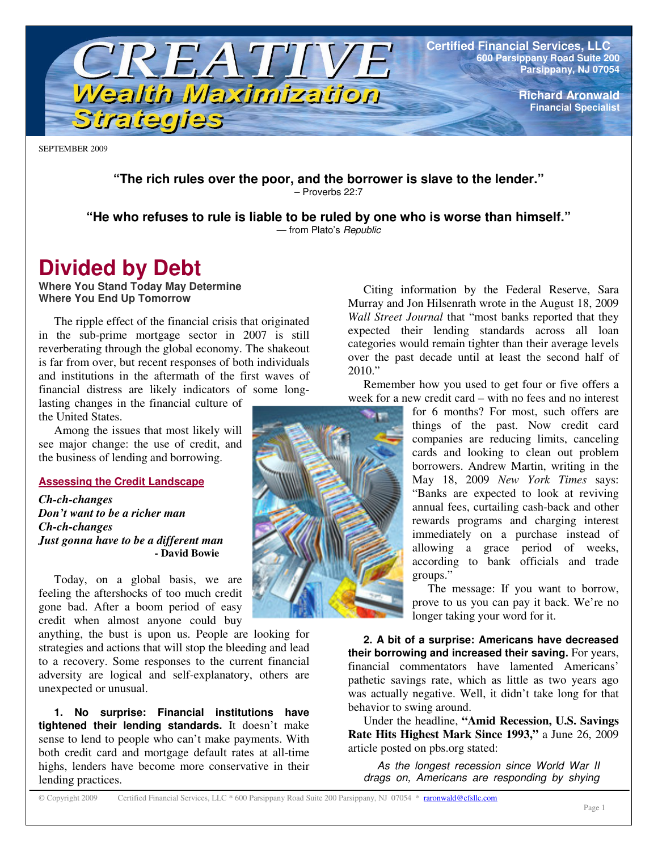

**Richard Aronwald Financial Specialist**

SEPTEMBER 2009

**"The rich rules over the poor, and the borrower is slave to the lender."** – Proverbs 22:7

**"He who refuses to rule is liable to be ruled by one who is worse than himself."**

— from Plato's *Republic*

# **Divided by Debt**

**Where You Stand Today May Determine Where You End Up Tomorrow**

The ripple effect of the financial crisis that originated in the sub-prime mortgage sector in 2007 is still reverberating through the global economy. The shakeout is far from over, but recent responses of both individuals and institutions in the aftermath of the first waves of financial distress are likely indicators of some longlasting changes in the financial culture of the United States.

Among the issues that most likely will see major change: the use of credit, and the business of lending and borrowing.

### **Assessing the Credit Landscape**

*Ch-ch-changes Don't want to be a richer man Ch-ch-changes Just gonna have to be a different man* **- David Bowie**

Today, on a global basis, we are feeling the aftershocks of too much credit gone bad. After a boom period of easy credit when almost anyone could buy

anything, the bust is upon us. People are looking for strategies and actions that will stop the bleeding and lead to a recovery. Some responses to the current financial adversity are logical and self-explanatory, others are unexpected or unusual.

**1. No surprise: Financial institutions have tightened their lending standards.** It doesn't make sense to lend to people who can't make payments. With both credit card and mortgage default rates at all-time highs, lenders have become more conservative in their lending practices.

Citing information by the Federal Reserve, Sara Murray and Jon Hilsenrath wrote in the August 18, 2009 *Wall Street Journal* that "most banks reported that they expected their lending standards across all loan categories would remain tighter than their average levels over the past decade until at least the second half of  $2010."$ 

Remember how you used to get four or five offers a week for a new credit card – with no fees and no interest

> for 6 months? For most, such offers are things of the past. Now credit card companies are reducing limits, canceling cards and looking to clean out problem borrowers. Andrew Martin, writing in the May 18, 2009 *New York Times* says: "Banks are expected to look at reviving annual fees, curtailing cash-back and other rewards programs and charging interest immediately on a purchase instead of allowing a grace period of weeks, according to bank officials and trade groups."

> The message: If you want to borrow, prove to us you can pay it back. We're no longer taking your word for it.

**2. A bit of a surprise: Americans have decreased their borrowing and increased their saving.** For years, financial commentators have lamented Americans' pathetic savings rate, which as little as two years ago was actually negative. Well, it didn't take long for that behavior to swing around.

Under the headline, **"Amid Recession, U.S. Savings Rate Hits Highest Mark Since 1993,"** a June 26, 2009 article posted on pbs.org stated:

*As the longest recession since World War II drags on, Americans are responding by shying*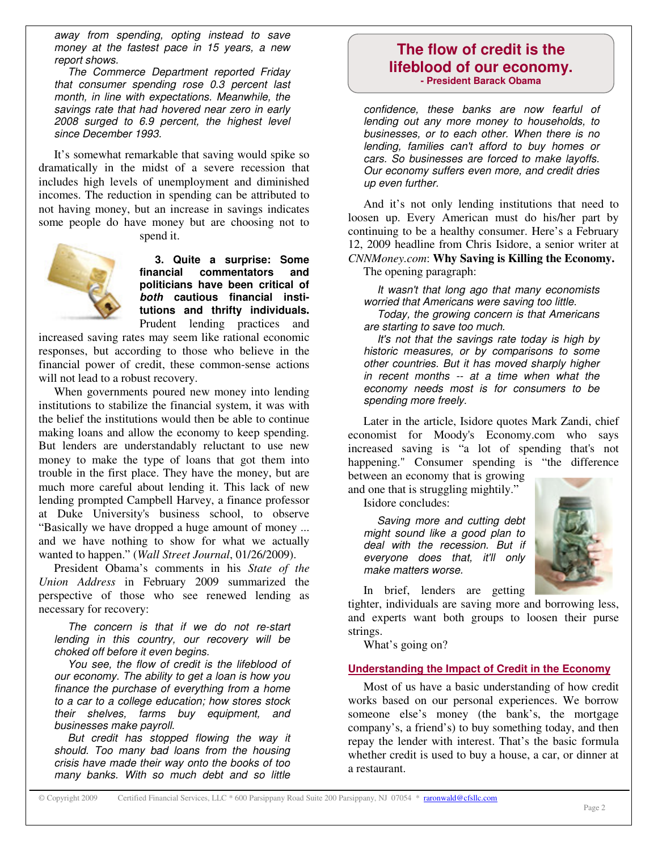*away from spending, opting instead to save money at the fastest pace in 15 years, a new report shows.*

*The Commerce Department reported Friday that consumer spending rose 0.3 percent last month, in line with expectations. Meanwhile, the savings rate that had hovered near zero in early 2008 surged to 6.9 percent, the highest level since December 1993.*

It's somewhat remarkable that saving would spike so dramatically in the midst of a severe recession that includes high levels of unemployment and diminished incomes. The reduction in spending can be attributed to not having money, but an increase in savings indicates some people do have money but are choosing not to



spend it.

**3. Quite a surprise: Some financial commentators and politicians have been critical of** *both* **cautious financial institutions and thrifty individuals.** Prudent lending practices and

increased saving rates may seem like rational economic responses, but according to those who believe in the financial power of credit, these common-sense actions will not lead to a robust recovery.

When governments poured new money into lending institutions to stabilize the financial system, it was with the belief the institutions would then be able to continue making loans and allow the economy to keep spending. But lenders are understandably reluctant to use new money to make the type of loans that got them into trouble in the first place. They have the money, but are much more careful about lending it. This lack of new lending prompted Campbell Harvey, a finance professor at Duke University's business school, to observe "Basically we have dropped a huge amount of money ... and we have nothing to show for what we actually wanted to happen." (*Wall Street Journal*, 01/26/2009).

President Obama's comments in his *State of the Union Address* in February 2009 summarized the perspective of those who see renewed lending as necessary for recovery:

*The concern is that if we do not re-start lending in this country, our recovery will be choked off before it even begins.*

*You see, the flow of credit is the lifeblood of our economy. The ability to get a loan is how you finance the purchase of everything from a home to a car to a college education; how stores stock their shelves, farms buy equipment, and businesses make payroll.*

*But credit has stopped flowing the way it should. Too many bad loans from the housing crisis have made their way onto the books of too many banks. With so much debt and so little*

# **The flow of credit is the lifeblood of our economy. - President Barack Obama**

*confidence, these banks are now fearful of lending out any more money to households, to businesses, or to each other. When there is no lending, families can't afford to buy homes or cars. So businesses are forced to make layoffs. Our economy suffers even more, and credit dries up even further.*

And it's not only lending institutions that need to loosen up. Every American must do his/her part by continuing to be a healthy consumer. Here's a February 12, 2009 headline from Chris Isidore, a senior writer at *CNNMoney.com*: **Why Saving is Killing the Economy.**

The opening paragraph:

*It wasn't that long ago that many economists worried that Americans were saving too little. Today, the growing concern is that Americans are starting to save too much.*

*It's not that the savings rate today is high by historic measures, or by comparisons to some other countries. But it has moved sharply higher in recent months -- at a time when what the economy needs most is for consumers to be spending more freely.*

Later in the article, Isidore quotes Mark Zandi, chief economist for Moody's Economy.com who says increased saving is "a lot of spending that's not happening." Consumer spending is "the difference between an economy that is growing

and one that is struggling mightily."

Isidore concludes:

*Saving more and cutting debt might sound like a good plan to deal with the recession. But if everyone does that, it'll only make matters worse.*



In brief, lenders are getting

tighter, individuals are saving more and borrowing less, and experts want both groups to loosen their purse strings.

What's going on?

## **Understanding the Impact of Credit in the Economy**

Most of us have a basic understanding of how credit works based on our personal experiences. We borrow someone else's money (the bank's, the mortgage company's, a friend's) to buy something today, and then repay the lender with interest. That's the basic formula whether credit is used to buy a house, a car, or dinner at a restaurant.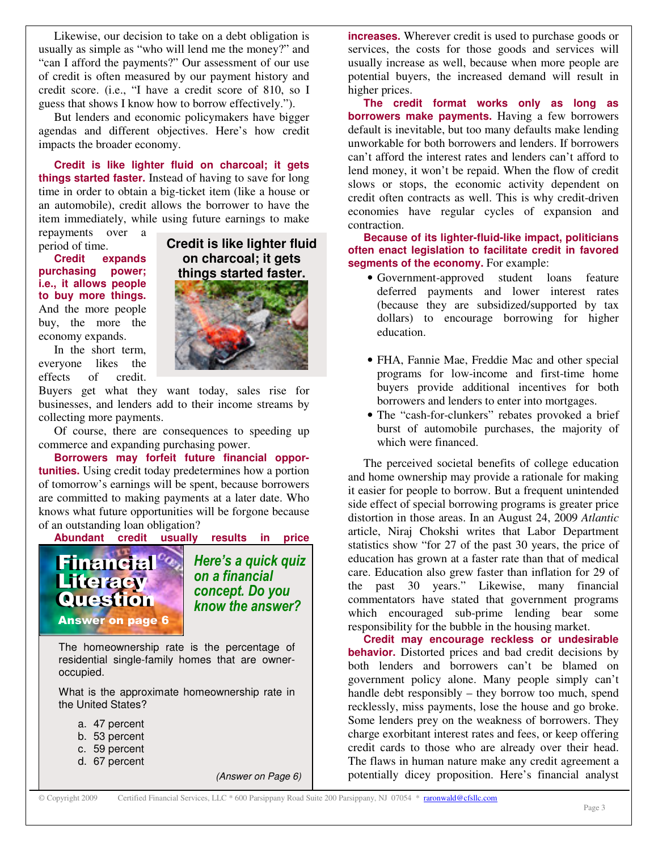Likewise, our decision to take on a debt obligation is usually as simple as "who will lend me the money?" and "can I afford the payments?" Our assessment of our use of credit is often measured by our payment history and credit score. (i.e., "I have a credit score of 810, so I guess that shows I know how to borrow effectively.").

But lenders and economic policymakers have bigger agendas and different objectives. Here's how credit impacts the broader economy.

**Credit is like lighter fluid on charcoal; it gets things started faster.** Instead of having to save for long time in order to obtain a big-ticket item (like a house or an automobile), credit allows the borrower to have the item immediately, while using future earnings to make

repayments over a period of time.

**Credit expands purchasing power; i.e., it allows people to buy more things.** And the more people buy, the more the economy expands.



**Credit is like lighter fluid**

In the short term, everyone likes the effects of credit.

Buyers get what they want today, sales rise for businesses, and lenders add to their income streams by collecting more payments.

Of course, there are consequences to speeding up commerce and expanding purchasing power.

**Borrowers may forfeit future financial opportunities.** Using credit today predetermines how a portion of tomorrow's earnings will be spent, because borrowers are committed to making payments at a later date. Who knows what future opportunities will be forgone because of an outstanding loan obligation?

**Abundant credit usually results in price**



- d. 67 percent
	-

*(Answer on Page 6)*

**increases.** Wherever credit is used to purchase goods or services, the costs for those goods and services will usually increase as well, because when more people are potential buyers, the increased demand will result in higher prices.

**The credit format works only as long as borrowers make payments.** Having a few borrowers default is inevitable, but too many defaults make lending unworkable for both borrowers and lenders. If borrowers can't afford the interest rates and lenders can't afford to lend money, it won't be repaid. When the flow of credit slows or stops, the economic activity dependent on credit often contracts as well. This is why credit-driven economies have regular cycles of expansion and contraction.

**Because of its lighter-fluid-like impact, politicians often enact legislation to facilitate credit in favored segments of the economy.** For example:

- Government-approved student loans feature deferred payments and lower interest rates (because they are subsidized/supported by tax dollars) to encourage borrowing for higher education.
- FHA, Fannie Mae, Freddie Mac and other special programs for low-income and first-time home buyers provide additional incentives for both borrowers and lenders to enter into mortgages.
- The "cash-for-clunkers" rebates provoked a brief burst of automobile purchases, the majority of which were financed.

The perceived societal benefits of college education and home ownership may provide a rationale for making it easier for people to borrow. But a frequent unintended side effect of special borrowing programs is greater price distortion in those areas. In an August 24, 2009 *Atlantic* article, Niraj Chokshi writes that Labor Department statistics show "for 27 of the past 30 years, the price of education has grown at a faster rate than that of medical care. Education also grew faster than inflation for 29 of the past 30 years." Likewise, many financial commentators have stated that government programs which encouraged sub-prime lending bear some responsibility for the bubble in the housing market.

**Credit may encourage reckless or undesirable behavior.** Distorted prices and bad credit decisions by both lenders and borrowers can't be blamed on government policy alone. Many people simply can't handle debt responsibly – they borrow too much, spend recklessly, miss payments, lose the house and go broke. Some lenders prey on the weakness of borrowers. They charge exorbitant interest rates and fees, or keep offering credit cards to those who are already over their head. The flaws in human nature make any credit agreement a potentially dicey proposition. Here's financial analyst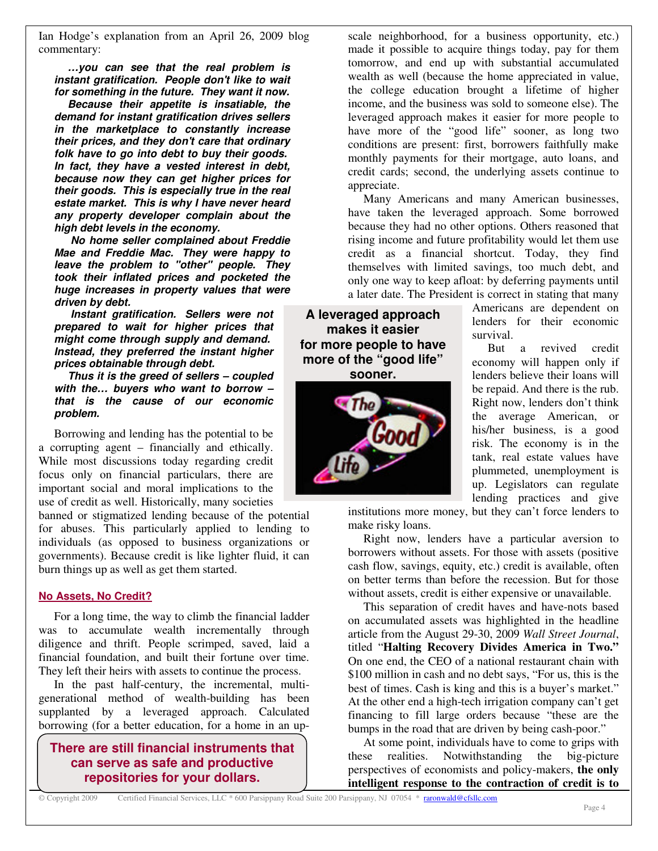Ian Hodge's explanation from an April 26, 2009 blog commentary:

*…you can see that the real problem is instant gratification. People don't like to wait for something in the future. They want it now. Because their appetite is insatiable, the demand for instant gratification drives sellers in the marketplace to constantly increase their prices, and they don't care that ordinary folk have to go into debt to buy their goods. In fact, they have a vested interest in debt, because now they can get higher prices for their goods. This is especially true in the real estate market. This is why I have never heard any property developer complain about the high debt levels in the economy.*

*No home seller complained about Freddie Mae and Freddie Mac. They were happy to leave the problem to "other" people. They took their inflated prices and pocketed the huge increases in property values that were driven by debt.*

*Instant gratification. Sellers were not prepared to wait for higher prices that might come through supply and demand. Instead, they preferred the instant higher prices obtainable through debt.*

*Thus it is the greed of sellers – coupled with the… buyers who want to borrow – that is the cause of our economic problem.*

Borrowing and lending has the potential to be a corrupting agent – financially and ethically. While most discussions today regarding credit focus only on financial particulars, there are important social and moral implications to the use of credit as well. Historically, many societies

banned or stigmatized lending because of the potential for abuses. This particularly applied to lending to individuals (as opposed to business organizations or governments). Because credit is like lighter fluid, it can burn things up as well as get them started.

#### **No Assets, No Credit?**

For a long time, the way to climb the financial ladder was to accumulate wealth incrementally through diligence and thrift. People scrimped, saved, laid a financial foundation, and built their fortune over time. They left their heirs with assets to continue the process.

In the past half-century, the incremental, multigenerational method of wealth-building has been supplanted by a leveraged approach. Calculated borrowing (for a better education, for a home in an up-

**There are still financial instruments that can serve as safe and productive repositories for your dollars.**

scale neighborhood, for a business opportunity, etc.) made it possible to acquire things today, pay for them tomorrow, and end up with substantial accumulated wealth as well (because the home appreciated in value, the college education brought a lifetime of higher income, and the business was sold to someone else). The leveraged approach makes it easier for more people to have more of the "good life" sooner, as long two conditions are present: first, borrowers faithfully make monthly payments for their mortgage, auto loans, and credit cards; second, the underlying assets continue to appreciate.

Many Americans and many American businesses, have taken the leveraged approach. Some borrowed because they had no other options. Others reasoned that rising income and future profitability would let them use credit as a financial shortcut. Today, they find themselves with limited savings, too much debt, and only one way to keep afloat: by deferring payments until a later date. The President is correct in stating that many

**A leveraged approach makes it easier for more people to have more of the "good life"**

**sooner.**



Americans are dependent on lenders for their economic survival.

But a revived credit economy will happen only if lenders believe their loans will be repaid. And there is the rub. Right now, lenders don't think the average American, or his/her business, is a good risk. The economy is in the tank, real estate values have plummeted, unemployment is up. Legislators can regulate lending practices and give

institutions more money, but they can't force lenders to make risky loans.

Right now, lenders have a particular aversion to borrowers without assets. For those with assets (positive cash flow, savings, equity, etc.) credit is available, often on better terms than before the recession. But for those without assets, credit is either expensive or unavailable.

This separation of credit haves and have-nots based on accumulated assets was highlighted in the headline article from the August 29-30, 2009 *Wall Street Journal*, titled "**Halting Recovery Divides America in Two."** On one end, the CEO of a national restaurant chain with \$100 million in cash and no debt says, "For us, this is the best of times. Cash is king and this is a buyer's market." At the other end a high-tech irrigation company can't get financing to fill large orders because "these are the bumps in the road that are driven by being cash-poor."

At some point, individuals have to come to grips with these realities. Notwithstanding the big-picture perspectives of economists and policy-makers, **the only intelligent response to the contraction of credit is to**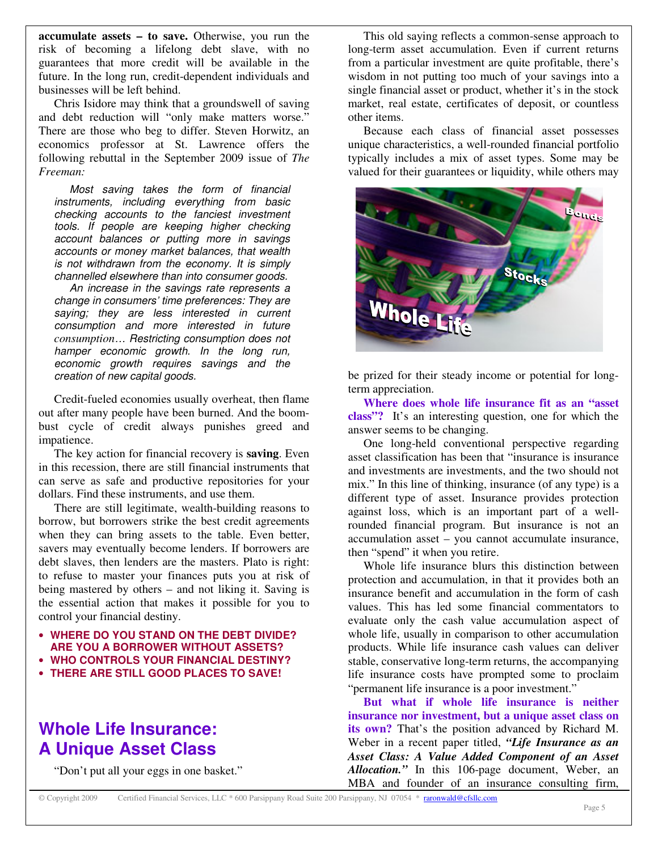**accumulate assets – to save.** Otherwise, you run the risk of becoming a lifelong debt slave, with no guarantees that more credit will be available in the future. In the long run, credit-dependent individuals and businesses will be left behind.

Chris Isidore may think that a groundswell of saving and debt reduction will "only make matters worse." There are those who beg to differ. Steven Horwitz, an economics professor at St. Lawrence offers the following rebuttal in the September 2009 issue of *The Freeman:*

*Most saving takes the form of financial instruments, including everything from basic checking accounts to the fanciest investment tools. If people are keeping higher checking account balances or putting more in savings accounts or money market balances, that wealth is not withdrawn from the economy. It is simply channelled elsewhere than into consumer goods.*

*An increase in the savings rate represents a change in consumers' time preferences: They are saying; they are less interested in current consumption and more interested in future consumption… Restricting consumption does not hamper economic growth. In the long run, economic growth requires savings and the creation of new capital goods.*

Credit-fueled economies usually overheat, then flame out after many people have been burned. And the boombust cycle of credit always punishes greed and impatience.

The key action for financial recovery is **saving**. Even in this recession, there are still financial instruments that can serve as safe and productive repositories for your dollars. Find these instruments, and use them.

There are still legitimate, wealth-building reasons to borrow, but borrowers strike the best credit agreements when they can bring assets to the table. Even better, savers may eventually become lenders. If borrowers are debt slaves, then lenders are the masters. Plato is right: to refuse to master your finances puts you at risk of being mastered by others – and not liking it. Saving is the essential action that makes it possible for you to control your financial destiny.

- **WHERE DO YOU STAND ON THE DEBT DIVIDE? ARE YOU A BORROWER WITHOUT ASSETS?**
- **WHO CONTROLS YOUR FINANCIAL DESTINY?**
- **THERE ARE STILL GOOD PLACES TO SAVE!**

# **Whole Life Insurance: A Unique Asset Class**

"Don't put all your eggs in one basket."

This old saying reflects a common-sense approach to long-term asset accumulation. Even if current returns from a particular investment are quite profitable, there's wisdom in not putting too much of your savings into a single financial asset or product, whether it's in the stock market, real estate, certificates of deposit, or countless other items.

Because each class of financial asset possesses unique characteristics, a well-rounded financial portfolio typically includes a mix of asset types. Some may be valued for their guarantees or liquidity, while others may



be prized for their steady income or potential for longterm appreciation.

**Where does whole life insurance fit as an "asset class"?** It's an interesting question, one for which the answer seems to be changing.

One long-held conventional perspective regarding asset classification has been that "insurance is insurance and investments are investments, and the two should not mix." In this line of thinking, insurance (of any type) is a different type of asset. Insurance provides protection against loss, which is an important part of a wellrounded financial program. But insurance is not an accumulation asset – you cannot accumulate insurance, then "spend" it when you retire.

Whole life insurance blurs this distinction between protection and accumulation, in that it provides both an insurance benefit and accumulation in the form of cash values. This has led some financial commentators to evaluate only the cash value accumulation aspect of whole life, usually in comparison to other accumulation products. While life insurance cash values can deliver stable, conservative long-term returns, the accompanying life insurance costs have prompted some to proclaim "permanent life insurance is a poor investment."

**But what if whole life insurance is neither insurance nor investment, but a unique asset class on its own?** That's the position advanced by Richard M. Weber in a recent paper titled, *"Life Insurance as an Asset Class: A Value Added Component of an Asset Allocation."* In this 106-page document, Weber, an MBA and founder of an insurance consulting firm,